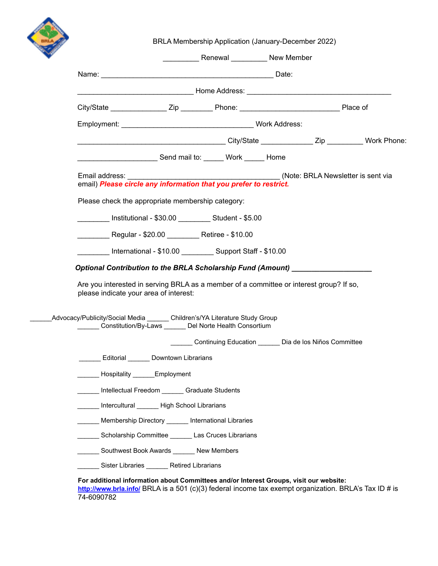

BRLA Membership Application (January-December 2022)

|                                                                                  |                                                                                                            | <b>EXAMPLE 2018 Renewal CONSUMERTING MEMBER</b>        |  |  |
|----------------------------------------------------------------------------------|------------------------------------------------------------------------------------------------------------|--------------------------------------------------------|--|--|
|                                                                                  |                                                                                                            |                                                        |  |  |
|                                                                                  |                                                                                                            |                                                        |  |  |
|                                                                                  |                                                                                                            |                                                        |  |  |
|                                                                                  |                                                                                                            |                                                        |  |  |
|                                                                                  | ____________________________________City/State _________________Zip ___________Work Phone:                 |                                                        |  |  |
|                                                                                  | Send mail to: Work Home                                                                                    |                                                        |  |  |
|                                                                                  |                                                                                                            |                                                        |  |  |
|                                                                                  | Please check the appropriate membership category:                                                          |                                                        |  |  |
|                                                                                  | _________ Institutional - \$30.00 _________ Student - \$5.00                                               |                                                        |  |  |
|                                                                                  | Regular - \$20.00 Retiree - \$10.00                                                                        |                                                        |  |  |
|                                                                                  | International - \$10.00 __________ Support Staff - \$10.00                                                 |                                                        |  |  |
| Optional Contribution to the BRLA Scholarship Fund (Amount) ____________________ | Are you interested in serving BRLA as a member of a committee or interest group? If so,                    |                                                        |  |  |
|                                                                                  | please indicate your area of interest:                                                                     |                                                        |  |  |
|                                                                                  | ________ Constitution/By-Laws _______ Del Norte Health Consortium                                          |                                                        |  |  |
|                                                                                  |                                                                                                            | Continuing Education ______ Dia de los Niños Committee |  |  |
|                                                                                  | Editorial Downtown Librarians                                                                              |                                                        |  |  |
|                                                                                  | Hospitality ______Employment                                                                               |                                                        |  |  |
|                                                                                  | Intellectual Freedom _______ Graduate Students                                                             |                                                        |  |  |
|                                                                                  | Intercultural ________ High School Librarians                                                              |                                                        |  |  |
| _Advocacy/Publicity/Social Media _______ Children's/YA Literature Study Group    | Membership Directory ______ International Libraries<br>Scholarship Committee _______ Las Cruces Librarians |                                                        |  |  |
|                                                                                  | Southwest Book Awards ______ New Members                                                                   |                                                        |  |  |

74-6090782